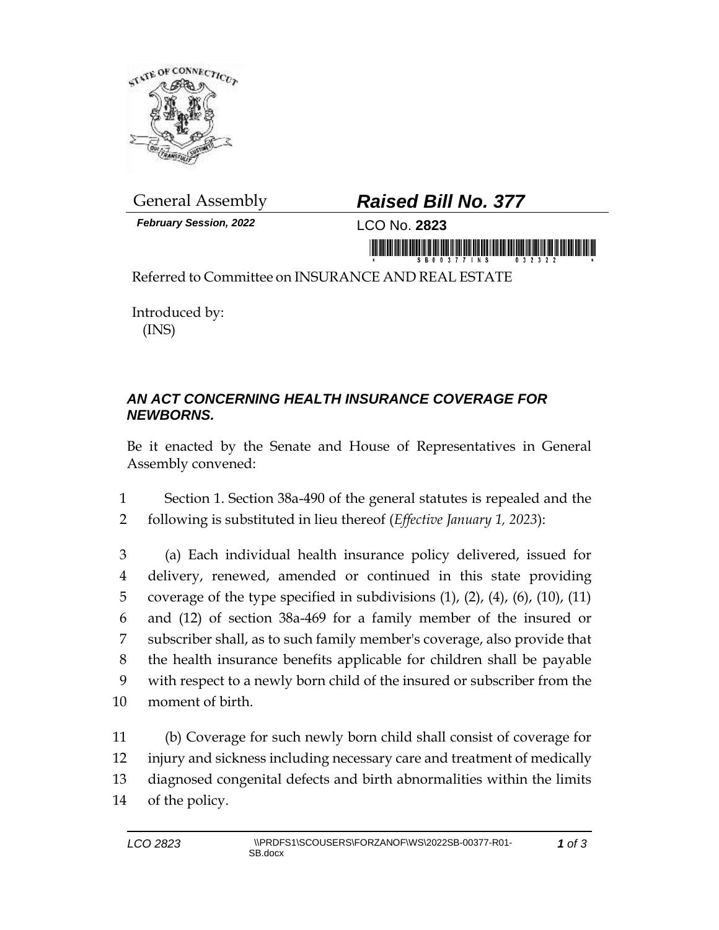

*February Session, 2022* LCO No. **2823**

## General Assembly *Raised Bill No. 377*

<u>iimmunisteisid hinliitumidididid muuni</u>

Referred to Committee on INSURANCE AND REAL ESTATE

Introduced by: (INS)

## *AN ACT CONCERNING HEALTH INSURANCE COVERAGE FOR NEWBORNS.*

Be it enacted by the Senate and House of Representatives in General Assembly convened:

1 Section 1. Section 38a-490 of the general statutes is repealed and the 2 following is substituted in lieu thereof (*Effective January 1, 2023*):

 (a) Each individual health insurance policy delivered, issued for delivery, renewed, amended or continued in this state providing 5 coverage of the type specified in subdivisions  $(1)$ ,  $(2)$ ,  $(4)$ ,  $(6)$ ,  $(10)$ ,  $(11)$  and (12) of section 38a-469 for a family member of the insured or subscriber shall, as to such family member's coverage, also provide that the health insurance benefits applicable for children shall be payable with respect to a newly born child of the insured or subscriber from the moment of birth.

 (b) Coverage for such newly born child shall consist of coverage for injury and sickness including necessary care and treatment of medically diagnosed congenital defects and birth abnormalities within the limits of the policy.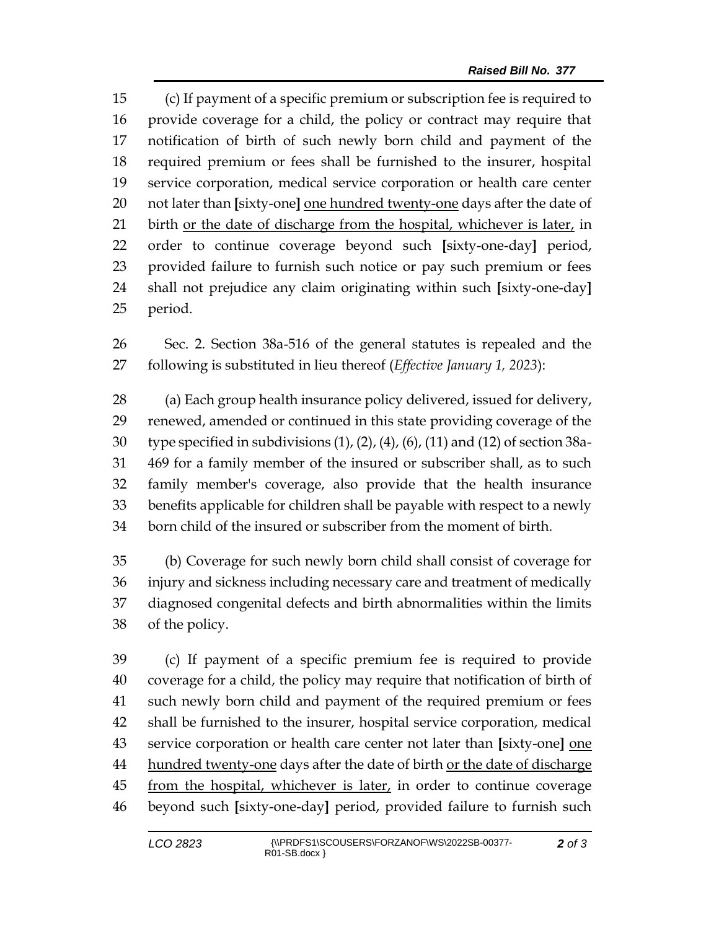(c) If payment of a specific premium or subscription fee is required to provide coverage for a child, the policy or contract may require that notification of birth of such newly born child and payment of the required premium or fees shall be furnished to the insurer, hospital service corporation, medical service corporation or health care center not later than **[**sixty-one**]** one hundred twenty-one days after the date of 21 birth or the date of discharge from the hospital, whichever is later, in order to continue coverage beyond such **[**sixty-one-day**]** period, provided failure to furnish such notice or pay such premium or fees shall not prejudice any claim originating within such **[**sixty-one-day**]** period.

 Sec. 2. Section 38a-516 of the general statutes is repealed and the following is substituted in lieu thereof (*Effective January 1, 2023*):

 (a) Each group health insurance policy delivered, issued for delivery, renewed, amended or continued in this state providing coverage of the type specified in subdivisions (1), (2), (4), (6), (11) and (12) of section 38a- 469 for a family member of the insured or subscriber shall, as to such family member's coverage, also provide that the health insurance benefits applicable for children shall be payable with respect to a newly born child of the insured or subscriber from the moment of birth.

 (b) Coverage for such newly born child shall consist of coverage for injury and sickness including necessary care and treatment of medically diagnosed congenital defects and birth abnormalities within the limits of the policy.

 (c) If payment of a specific premium fee is required to provide coverage for a child, the policy may require that notification of birth of such newly born child and payment of the required premium or fees shall be furnished to the insurer, hospital service corporation, medical service corporation or health care center not later than **[**sixty-one**]** one 44 hundred twenty-one days after the date of birth or the date of discharge 45 from the hospital, whichever is later, in order to continue coverage beyond such **[**sixty-one-day**]** period, provided failure to furnish such